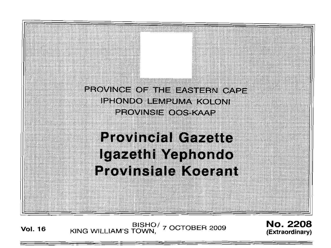

**Vol. <sup>16</sup>** BISHO/ KING WILLIAM'S TOWN, 7 OCTOBER 2009

No. 2208 **(Extraordinary)**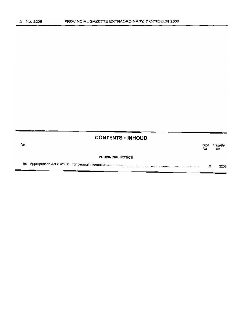|     | <b>CONTENTS . INHOUD</b> |             |                |
|-----|--------------------------|-------------|----------------|
| No. |                          | Page<br>No. | Gazette<br>No. |
|     | <b>PROVINCIAL NOTICE</b> |             |                |
| 56  |                          | з           | 2208           |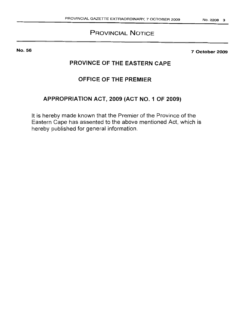# **PROVINCIAL NOTICE**

No. 56

**7 October 2009**

# **PROVINCE OF THE EASTERN CAPE**

# **OFFICE OF THE PREMIER**

# **APPROPRIATION ACT, 2009 (ACT NO.1 OF 2009)**

**It** is hereby made known that the Premier of the Province of the Eastern Cape has assented to the above mentioned Act, which is hereby published for general information.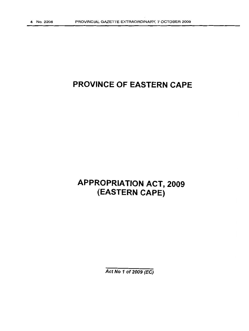# **PROVINCE OF EASTERN CAPE**

# **APPROPRIATION ACT, 2009 (EASTERN CAPE)**

Act No 1 of 2009 (EC)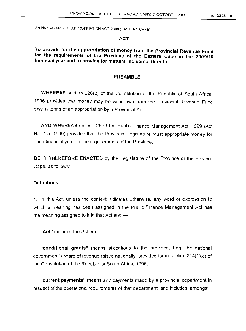#### **ACT**

**To provide for the appropriation of money from the Provincial Revenue Fund for the requirements of the Province of the Eastern Cape in the 2009/10 financial year and to provide for matters incidental thereto.**

# **PREAMBLE**

**WHEREAS** section 226(2) of the Constitution of the Republic of South Africa, 1996 provides that money may be withdrawn from the Provincial Revenue Fund only in terms of an appropriation by a Provincial Act;

**AND WHEREAS** section 26 of the Public Finance Management Act, 1999 (Act No. 1 of 1999) provides that the Provincial Legislature must appropriate money for each financial year for the requirements of the Province;

**BE IT THEREFORE ENACTED** by the Legislature of the Province of the Eastern Cape, as follows: $-$ 

#### **Definitions**

**1.** In this Act, unless the context indicates otherwise, any word or expression to which a meaning has been assigned in the Public Finance Management Act has the meaning assigned to it in that Act and  $-$ 

"Act" includes the Schedule;

**"conditional grants"** means allocations to the province, from the national government's share of revenue raised nationally, provided for in section 214(1)(c) of the Constitution of the Republic of South Africa, 1996;

**"current payments"** means any payments made by a provincial department in respect of the operational requirements of that department, and includes, amongst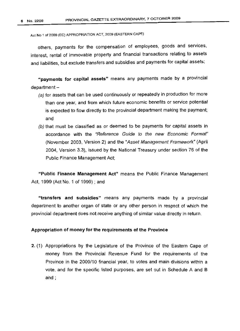others, payments for the compensation of employees, goods and services, interest, rental of immovable property and financial transactions relating to assets and liabilities, but exclude transfers and subsidies and payments for capital assets;

"payments for capital assets" means any payments made by a provincial  $d$ epartment  $-$ 

- (a) for assets that can be used continuously or repeatedly in production for more than one year, and from which future economic benefits or service potential is expected to flow directly to the provincial department making the payment; and
- (b) that must be classified as or deemed to be payments for capital assets in accordance with the "Reference Guide to the new Economic Format" (November 2003, Version 2) and the "Asset Management Framework" (April 2004, Version 3.3), issued by the National Treasury under section 76 of the Public Finance Management Act;

"Public Finance Management Act" means the Public Finance Management Act, 1999 (Act NO.1 of 1999) ; and

"transfers and subsidies" means any payments made by a provincial department to another organ of state or any other person in respect of which the provincial department does not receive anything of similar value directly in return.

#### Appropriation of money for the requirements of the Province

2. (1) Appropriations by the Legislature of the Province of the Eastern Cape of money from the Provincial Revenue Fund for the requirements of the Province in the 2009/10 financial year, to votes and main divisions within a vote, and for the specific listed purposes, are set out in Schedule A and B and;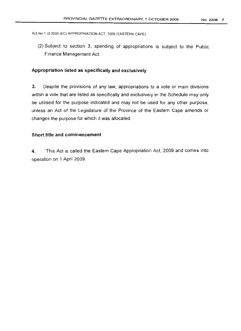(2) Subject to section 3, spending of appropriations is subject to the Public Finance Management Act.

# **Appropriation listed as specifically and exclusively**

3. Despite the provisions of any law, appropriations to a vote or main divisions within a vote that are listed as specifically and exclusively in the Schedule may only be utilised for the purpose indicated and may not be used for any other purpose, unless an Act of the Legislature of the Province of the Eastern Cape amends or changes the purpose for which it was allocated.

## **Short title and commencement**

**4.** This Act is called the Eastern Cape Appropriation Act, 2009 and comes into operation on 1 April 2009.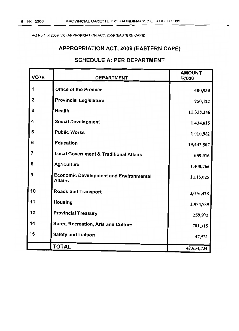# **APPROPRIATION ACT, 2009 (EASTERN CAPE)**

# **SCHEDULE A: PER DEPARTMENT**

| <b>VOTE</b>             | <b>DEPARTMENT</b>                                               | <b>AMOUNT</b><br><b>R'000</b> |
|-------------------------|-----------------------------------------------------------------|-------------------------------|
| 1                       | <b>Office of the Premier</b>                                    | 400,930                       |
| $\overline{\mathbf{2}}$ | <b>Provincial Legislature</b>                                   | 250,122                       |
| 3                       | Health                                                          | 11,328,346                    |
| 4                       | <b>Social Development</b>                                       | 1,434,015                     |
| 5                       | <b>Public Works</b>                                             | 1,010,982                     |
| 6                       | <b>Education</b>                                                | 19,447,507                    |
| $\overline{7}$          | <b>Local Government &amp; Traditional Affairs</b>               | 659,016                       |
| 8                       | <b>Agriculture</b>                                              | 1,408,766                     |
| 9                       | <b>Economic Development and Environmental</b><br><b>Affairs</b> | 1,115,025                     |
| 10                      | <b>Roads and Transport</b>                                      | 3,016,428                     |
| 11                      | <b>Housing</b>                                                  | 1,474,789                     |
| 12                      | <b>Provincial Treasury</b>                                      | 259,972                       |
| 14                      | Sport, Recreation, Arts and Culture                             | 781,315                       |
| 15                      | <b>Safety and Liaison</b>                                       | 47,521                        |
|                         | <b>TOTAL</b>                                                    | 42,634,734                    |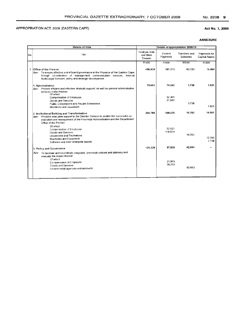#### **Act No.1, 2009**

|     | <b>Details of Vote</b><br>Details of appropriation 2009/10                                                                                                                                                                                         |                      |                     |                                          |                                       |
|-----|----------------------------------------------------------------------------------------------------------------------------------------------------------------------------------------------------------------------------------------------------|----------------------|---------------------|------------------------------------------|---------------------------------------|
|     |                                                                                                                                                                                                                                                    | Total per Vote       |                     |                                          |                                       |
| No. | Title                                                                                                                                                                                                                                              | and Main<br>Division | Current<br>Payments | <b>Transfers and</b><br><b>Subsidies</b> | Payments for<br><b>Capital Assets</b> |
|     |                                                                                                                                                                                                                                                    | <b>R'000</b>         | R'000               | <b>R'000</b>                             | R'000                                 |
| 1   | Office of the Premier<br>Aim: To ensure effective and efficient governance in the Province of the Eastern Cape<br>through co-ordination of management communication services, Internal<br>Audit, Legal Services, policy and strategic development, | 400,930              | 301.313             | 83.133                                   | 16.484                                |
|     | 1. Administration<br>Aim: Provide efficient and effective strategic support, as well as general administrative<br>services to the Premier                                                                                                          | 79.603               | 74.242              | 3.738                                    | 1.623                                 |
|     | Of which<br>Compensation of Employee<br>Goods and Services<br>Public Corporations and Private Enterprises<br>Machinery and equipment                                                                                                               |                      | 52.301<br>21.941    | 3.738                                    | 1.823                                 |
|     | 2. Institutional Building and Transformation<br>Aim: Provides executive support to the Director General to enable the successful co-<br>ordination and management of the Provincial Administration and the Department:<br>Office of the Premier    | 200.798              | 169.235             | 16.702                                   | 14.861                                |
|     | Of which<br>Compensation of Employee<br>Goods and Services<br>Universities and Technikons<br>Machinery and Equipment<br>Software and other intangible assets                                                                                       |                      | 52.621<br>116.614   | 16.702                                   | 12.743<br>2.118                       |
|     | 3. Policy and Governance                                                                                                                                                                                                                           | 120,529              | 57,836              | 62,693                                   |                                       |
|     | Aim To facilitate and co-ordinate integrated provincial policies and planning and<br>evaluate the impact thereof<br>Of which<br>Compensation of Employee<br>Goods and Services<br>Departmental agencies and accounts                               |                      | 21.503<br>36,333    | 62.693                                   |                                       |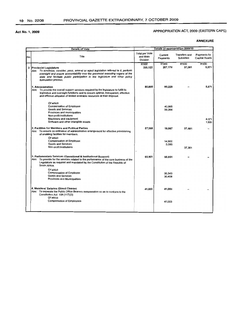# APPROPRIATION ACT, 2009 (EASTERN CAPE)

|     | <b>Details of Vote</b>                                                                                                                                                                                                                                                                                          | Details of appropriation 2009/10       |                         |                                          |                                       |
|-----|-----------------------------------------------------------------------------------------------------------------------------------------------------------------------------------------------------------------------------------------------------------------------------------------------------------------|----------------------------------------|-------------------------|------------------------------------------|---------------------------------------|
| No. | Title                                                                                                                                                                                                                                                                                                           | Total per Vote<br>and Main<br>Division | Current<br>Payments     | <b>Transfers and</b><br><b>Subsidies</b> | Payments for<br><b>Capital Assets</b> |
|     | 2 Provincial Legislature<br>Aim: To scrutinize, consider, pass, amend or reject legislation referred to it, perform<br>oversight and ensure accountability over the provincial executing organs of the<br>state and facilitate public participation in the legislature and other policy<br>formulation process. | <b>R'000</b><br>250,122                | <b>R'000</b><br>207,170 | R'000<br>37.381                          | R'000<br>5,571                        |
|     | 1. Administration<br>Aim: To provide the overall support services required by the legislature to fulfill its<br>legislative and oversight functions and to ensure optimal, transparent, effective<br>and efficient utilization of limited available resources at their disposal.                                | 85,800                                 | 80.229                  |                                          | 5,571                                 |
|     | Of which<br>Compensation of Employee<br>Goods and Services<br>Provinces and municipalities<br>Non-profit Institutions                                                                                                                                                                                           |                                        | 40,965<br>39.264        |                                          |                                       |
|     | Machinery and equipment<br>Software and other intangible assets                                                                                                                                                                                                                                                 |                                        |                         |                                          | 4.071<br>1,500                        |
|     | 2. Facilities for Members and Political Parties<br>Aim: To ensure co-ordination of administrative arrangement for effective provisioning<br>of enabling facilities for members.<br>Of which                                                                                                                     | 57,368                                 | 19,987                  | 37,381                                   |                                       |
|     | <b>Compensation of Employee</b><br>Goods and Services<br>Non-profit Institutions                                                                                                                                                                                                                                |                                        | 14,902<br>5.085         | 37.381                                   |                                       |
|     | 3. Parliamentary Services (Operational & Institutional Support)<br>Aim: To provide for the services related to the performance of the core business of the<br>Legislature as required and mandated by the Constitution of the Republic of<br>South Africa.                                                      | 65,951                                 | 65,951                  |                                          |                                       |
|     | Of which<br>Compensation of Employee<br><b>Goods and Services</b><br>Provinces and Municipalities                                                                                                                                                                                                               |                                        | 35.543<br>30.408        |                                          |                                       |
|     | 4. Members' Salaries (Direct Charge)<br>Aim: To separate the Public Office Bearers remuneration so as to conform to the<br>Constitution Act 108 (117)(3)<br>Of which                                                                                                                                            | 41.003                                 | 41.003                  |                                          |                                       |
|     | <b>Compensation of Employees</b>                                                                                                                                                                                                                                                                                |                                        | 41,003                  |                                          |                                       |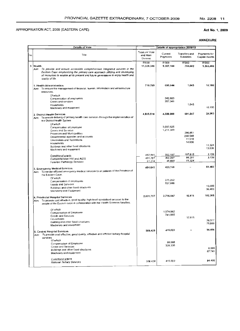# Act No.1, 2009

|     | <b>Details of Vote</b>                                                                                                                                                                                                                                                                  |                                        |                           | Details of appropriation 2009/10       |                                       |
|-----|-----------------------------------------------------------------------------------------------------------------------------------------------------------------------------------------------------------------------------------------------------------------------------------------|----------------------------------------|---------------------------|----------------------------------------|---------------------------------------|
| No. | Title                                                                                                                                                                                                                                                                                   | Total per Vote<br>and Main<br>Division | Current<br>Payments       | Transfers and<br><b>Subsidies</b>      | Payments for<br><b>Capital Assets</b> |
|     | 3 Health<br>To provide and ensure accessible compreher sive integrated services in the<br>Aim:<br>Eastern Cape emphasizing the primary care approach utilizing and developing<br>all resources to enable all its present and future generations to enjoy health and<br>quality of life. | <b>R'000</b><br>11,328,346             | <b>R'000</b><br>9,307,184 | <b>R'000</b><br>755,682                | <b>R'000</b><br>1,265,480             |
|     | 1. Health Administration<br>Aim: To ensure the management of financial, human, information and infrastructure<br>resources.                                                                                                                                                             | 710,789                                | 699,644                   | 1,045                                  | 10,100                                |
|     | Of which<br>Compensation of employees<br>Goods and services<br>Households                                                                                                                                                                                                               |                                        | 342,603<br>357,041        | 1,045                                  |                                       |
|     | Machinery and equipment                                                                                                                                                                                                                                                                 |                                        |                           |                                        | 10,100                                |
|     | 2. District Health Services<br>Aim: To ensure delivery of primary health care services through the implementation of<br>the District Health System<br>Of which                                                                                                                          | 4,935,518                              | 4,309,008                 | 601,547                                | 24,963                                |
|     | Compensation of Employee<br>Goods and Services<br>Provinces and Municipalities<br>Departmental agencies and accounts<br>Universities and Technikons                                                                                                                                     |                                        | 3,097,625<br>1,211,383    | 286,851<br>288.548<br>11.518<br>14.630 |                                       |
|     | Households<br>Buildings and other fixed structures<br>Machinery and equipment                                                                                                                                                                                                           |                                        |                           |                                        | 11.324<br>13,639                      |
|     | Conditional grants                                                                                                                                                                                                                                                                      | 462,941                                | 352,187                   | 107,615                                | 3,139                                 |
|     | Comprehensive HIV and AIDS<br>Forensic Pathology Services                                                                                                                                                                                                                               | 401.727<br>61,214                      | 302.297<br>49,890         | 96,291<br>11,324                       | 3,139                                 |
|     | 3. Emergency Medical Services<br>To render efficient emergency medical services to all patients of the Province of<br>Aim.<br>the Eastern Cape.<br>Of which                                                                                                                             | 484.641                                | 433,158<br>275,262        |                                        | 51,483                                |
|     | Compensation of employees<br>Goods and Services<br>Buildings and other fixed structures<br>Machinery and Equipment                                                                                                                                                                      |                                        | 157,896                   |                                        | 15,000<br>36,483                      |
|     | 4. Provincial Hospital Services<br>Aim: To provide cost effective, good quality, high level specialised services to the<br>people of the Eastern cape in collaboration with the Health Sciences faculties.                                                                              | 2.831.727                              | 2,716,547                 | 12,815                                 | 102,365                               |
|     | Of which<br>Compensation of Employee<br>Goods and Services<br>Households<br>Building and other fixed structures                                                                                                                                                                         |                                        | 1,974,962<br>741,585      | 12,815                                 | 26,377                                |
|     | Machinery and equipment                                                                                                                                                                                                                                                                 |                                        |                           |                                        | 75,988                                |
|     | 5. Central Hospital Services<br>Aim: To provide cost effective, good quality, effective and efficient terhary hospital<br>services                                                                                                                                                      | 509,429                                | 415,023                   |                                        | 94,406                                |
|     | Of which<br>Compensation of Employee<br><b>Coods and Services</b><br>Buildings and other fixed structures<br>Machinery and equipment                                                                                                                                                    |                                        | 88,688<br>326,335         |                                        | 6.665<br>87.741                       |
|     | Conditional grants<br>National Tertiary Services                                                                                                                                                                                                                                        | 509.429                                | 415,023                   |                                        | 94.406                                |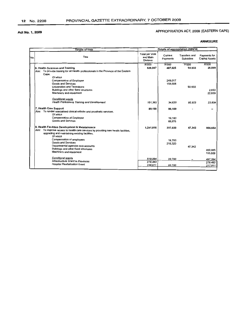# APPROPRIATION ACT, 2009 (EASTERN CAPE)

|     | <b>Details of Vote</b>                                                               |                                               |                     | Details of appropriation 2009/10         |                                       |
|-----|--------------------------------------------------------------------------------------|-----------------------------------------------|---------------------|------------------------------------------|---------------------------------------|
| No. | Title                                                                                | Total per Vote<br>and Main<br><b>Division</b> | Current<br>Payments | <b>Transfers and</b><br><b>Subsidies</b> | Payments for<br><b>Capital Assets</b> |
|     |                                                                                      | <b>R'000</b>                                  | R'000               | R'000                                    | <b>R'000</b>                          |
|     | 6. Health Sciences and Training                                                      | 526,067                                       | 407,625             | 92.933                                   | 25.509                                |
|     | Aim: To provide training for all Health professionals in the Province of the Eastern |                                               |                     |                                          |                                       |
|     | Cape.                                                                                |                                               |                     |                                          |                                       |
|     | Of which                                                                             |                                               |                     |                                          |                                       |
|     | <b>Compensation of Employee</b>                                                      |                                               | 249.017             |                                          |                                       |
|     | Goods and Services                                                                   |                                               | 158,608             |                                          |                                       |
|     | Universities and Technikons                                                          |                                               |                     | 92,933                                   |                                       |
|     | Buildings and other fixed structures                                                 |                                               |                     |                                          | 2.650                                 |
|     | Machinery and equipment                                                              |                                               |                     |                                          | 22.859                                |
|     | Conditional grants                                                                   |                                               |                     |                                          |                                       |
|     | <b>Health Professions Training and Development</b>                                   | 151,362                                       | 34.620              | 92.933                                   | 23,809                                |
|     |                                                                                      |                                               |                     |                                          |                                       |
|     | 7. Health Care Support                                                               | 89,159                                        | 89.159              |                                          |                                       |
|     | Aim: To render specialised clinical orthotic and prosthetic services.                |                                               |                     |                                          |                                       |
|     | Of which                                                                             |                                               |                     |                                          |                                       |
|     | Compensation of Employee                                                             |                                               | 19,183              |                                          |                                       |
|     | Goods and Services                                                                   |                                               | 69.976              |                                          |                                       |
|     |                                                                                      |                                               |                     |                                          |                                       |
|     | 8. Health Facilities Development & Maintainance                                      | 1,241,016                                     | 237.020             | 47.342                                   | 956,654                               |
|     | Aim: To improve access to health care services by providing new health facilities,   |                                               |                     |                                          |                                       |
|     | upgrading and maintaining existing facilities.                                       |                                               |                     |                                          |                                       |
|     | Of which                                                                             |                                               |                     |                                          |                                       |
|     | Compensation of employees                                                            |                                               | 18.700              |                                          |                                       |
|     | <b>Goods and Services</b>                                                            |                                               | 218,320             |                                          |                                       |
|     | Departmental agencies and accounts                                                   |                                               |                     | 47.342                                   |                                       |
|     | Buildings and other fixed structures<br>Machinery and equipment                      |                                               |                     |                                          | 800,985                               |
|     |                                                                                      |                                               |                     |                                          | 155,669                               |
|     | Conditional grants                                                                   | 518,094                                       | 20.700              |                                          |                                       |
|     | Infrastructure Grant to Provinces                                                    | 279,483                                       |                     |                                          | 497.394                               |
|     | Hospital Revitalisation Grant                                                        | 238,611                                       | 20,700              |                                          | 279,483<br>217.911                    |
|     |                                                                                      |                                               |                     |                                          |                                       |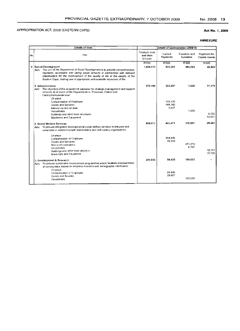#### Act No.1, 2009

|     | <b>Details of Vote</b>                                                                                                                                                                                                                                                                                                       |                                        |                     | Details of appropriation 2009/10         |                                |
|-----|------------------------------------------------------------------------------------------------------------------------------------------------------------------------------------------------------------------------------------------------------------------------------------------------------------------------------|----------------------------------------|---------------------|------------------------------------------|--------------------------------|
| No. | Title                                                                                                                                                                                                                                                                                                                        | Total per Vote<br>and Main<br>Division | Current<br>Payments | <b>Transfers and</b><br><b>Subsidies</b> | Payments for<br>Capital Assets |
|     |                                                                                                                                                                                                                                                                                                                              | R'000                                  | R'000               | R'000                                    | R'000                          |
|     | 4 Social Development                                                                                                                                                                                                                                                                                                         | 1,434,015                              | 903,501             | 484,594                                  | 45,920                         |
|     | Aim: The aim of the Department of Social Development is to provide comprehensive.<br>equitable, accessible and caring social services in partnership with relevant<br>stakeholders for the improvement of the quality of life of the people of the<br>Eastern Cape, making use of appropriate and available resources of the |                                        |                     |                                          |                                |
|     | 1. Administration                                                                                                                                                                                                                                                                                                            | 372.186                                | 353,207             | 1,500                                    | 17,479                         |
|     | Arm: The objective of this programme captures the strategic management and support<br>services at all levels of the Department i.e. Provincial, District and<br>Facility/Institutional level.<br>Of which                                                                                                                    |                                        |                     |                                          |                                |
|     | Compensation of Employee                                                                                                                                                                                                                                                                                                     |                                        | 159,120             |                                          |                                |
|     | Goods and Services                                                                                                                                                                                                                                                                                                           |                                        | 188,260             |                                          |                                |
|     | Interest on rent on land                                                                                                                                                                                                                                                                                                     |                                        | 5,827               |                                          |                                |
|     | <b>Households</b>                                                                                                                                                                                                                                                                                                            |                                        |                     | 1.500                                    |                                |
|     | Buildings and other fixed structures                                                                                                                                                                                                                                                                                         |                                        |                     |                                          | 6.552                          |
|     | Machinery and Equipment                                                                                                                                                                                                                                                                                                      |                                        |                     |                                          | 10.927                         |
|     | 2. Social Welfare Services                                                                                                                                                                                                                                                                                                   | 859.973                                | 453.471             | 378,061                                  | 28.441                         |
|     | Aim: To provide integrated developmental social welfare services to the poor and<br>vulnerable in partnership with stakeholders and civil society organisations.                                                                                                                                                             |                                        |                     |                                          |                                |
|     | Of which                                                                                                                                                                                                                                                                                                                     |                                        |                     |                                          |                                |
|     | Compensation of Employee                                                                                                                                                                                                                                                                                                     |                                        | 414,948             |                                          |                                |
|     | Goods and Services                                                                                                                                                                                                                                                                                                           |                                        | 38,523              |                                          |                                |
|     | Non-profit institutions                                                                                                                                                                                                                                                                                                      |                                        |                     | 371.274                                  |                                |
|     | Households                                                                                                                                                                                                                                                                                                                   |                                        |                     | 6,787                                    | 12.721                         |
|     | Buildings and other fixed structure                                                                                                                                                                                                                                                                                          |                                        |                     |                                          | 15.720                         |
|     | Machinery and Equipment                                                                                                                                                                                                                                                                                                      |                                        |                     |                                          |                                |
|     | 3. Development & Research                                                                                                                                                                                                                                                                                                    | 201,856                                | 96.823              | 105,033                                  |                                |
|     | Aim: To provide sustainable development programmes which facilitate empowerment                                                                                                                                                                                                                                              |                                        |                     |                                          |                                |
|     | of communities, based on empirical research and demographic information                                                                                                                                                                                                                                                      |                                        |                     |                                          |                                |
|     | Of which                                                                                                                                                                                                                                                                                                                     |                                        |                     |                                          |                                |
|     | Compensation of Employee                                                                                                                                                                                                                                                                                                     |                                        | 66,896              |                                          |                                |
|     | Goods and Sevices                                                                                                                                                                                                                                                                                                            |                                        | 29.927              | 105.033                                  |                                |
|     | <b>Households</b>                                                                                                                                                                                                                                                                                                            |                                        |                     |                                          |                                |
|     |                                                                                                                                                                                                                                                                                                                              |                                        |                     |                                          |                                |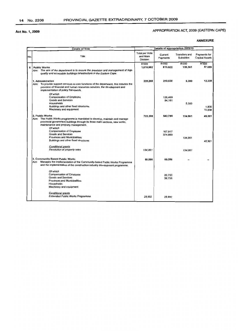# APPROPRIATION ACT, 2009 (EASTERN CAPE)

|     | <b>Details of Vote</b>                                                                                                                                                                                                          |                                               | Details of appropriation 2009/10 |                                          |                                       |
|-----|---------------------------------------------------------------------------------------------------------------------------------------------------------------------------------------------------------------------------------|-----------------------------------------------|----------------------------------|------------------------------------------|---------------------------------------|
| No. | Title                                                                                                                                                                                                                           | <b>Total per Vote</b><br>and Main<br>Division | Current<br>Payments              | <b>Transfers and</b><br><b>Subsidies</b> | Payments for<br><b>Capital Assets</b> |
|     |                                                                                                                                                                                                                                 | <b>R'000</b>                                  | <b>R'000</b>                     | <b>R'000</b>                             | <b>R'000</b>                          |
| 5   | <b>Public Works</b>                                                                                                                                                                                                             | 1.010.982                                     | 813.922                          | 139,361                                  | 57.699                                |
|     | Aim: The aim of the department is to ensure the provision and management of high<br>quality and accessible buildings infrastructure in the Eastern Cape.                                                                        |                                               |                                  |                                          |                                       |
|     | 1. Administration<br>Aim: To provide support services to core functions of the department, this includes the<br>provision of financial and human resources services, the development and<br>implementation of policy framework. | 228,268                                       | 210,630                          | 5,300                                    | 12.338                                |
|     | Of which<br>Compensation of Employee<br><b>Goods and Services</b>                                                                                                                                                               |                                               | 126,469<br>84,161                |                                          |                                       |
|     | Households                                                                                                                                                                                                                      |                                               |                                  | 5.300                                    |                                       |
|     | Buildings and other fixed structures                                                                                                                                                                                            |                                               |                                  |                                          | 1,800                                 |
|     | Machinery and equipment                                                                                                                                                                                                         |                                               |                                  |                                          | 10,538                                |
|     | 2. Public Works<br>Aim: The Public Works programme is mandated to develop, maintain and manage<br>provincial government buildings through its three main sections, new works,                                                   | 722.208                                       | 542,786                          | 134,061                                  | 45,361                                |
|     | maintenance and property management.                                                                                                                                                                                            |                                               |                                  |                                          |                                       |
|     | Of which                                                                                                                                                                                                                        |                                               |                                  |                                          |                                       |
|     | <b>Compensation of Employee</b>                                                                                                                                                                                                 |                                               | 167.917                          |                                          |                                       |
|     | Goods and Services                                                                                                                                                                                                              |                                               | 374.869                          |                                          |                                       |
|     | <b>Provinces and Municipalities</b>                                                                                                                                                                                             |                                               |                                  | 134,061                                  |                                       |
|     | Buildings and other fixed structures                                                                                                                                                                                            |                                               |                                  |                                          | 45,361                                |
|     | Conditional grants<br>Devolution of property rates                                                                                                                                                                              |                                               |                                  |                                          |                                       |
|     |                                                                                                                                                                                                                                 | 134,061                                       |                                  | 134,061                                  |                                       |
|     | 3. Community Based Public Works                                                                                                                                                                                                 | 60,506                                        | 60,506                           |                                          |                                       |
|     | Manages the implementation of the Community-based Public Works Programme<br>Aim<br>and the implementation of the construction industry development programme.                                                                   |                                               |                                  |                                          |                                       |
|     | Of which                                                                                                                                                                                                                        |                                               |                                  |                                          |                                       |
|     | Compensation of Employee                                                                                                                                                                                                        |                                               | 20.750                           |                                          |                                       |
|     | <b>Goods and Services</b>                                                                                                                                                                                                       |                                               | 39756                            |                                          |                                       |
|     | Provinces and Municipalities                                                                                                                                                                                                    |                                               |                                  |                                          |                                       |
|     | Households                                                                                                                                                                                                                      |                                               |                                  |                                          |                                       |
|     | Machinery and equipment                                                                                                                                                                                                         |                                               |                                  |                                          |                                       |
|     | <b>Conditional grants</b>                                                                                                                                                                                                       |                                               |                                  |                                          |                                       |
|     | <b>Expanded Public Works Programme</b>                                                                                                                                                                                          | 29,992                                        | 29.992                           |                                          |                                       |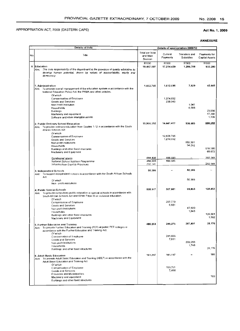#### Act No.1, 2009

|     | Details of Vote                                                                                                                                                                                   |                                        |                         | Details of appropriation 2009/10  |                                |
|-----|---------------------------------------------------------------------------------------------------------------------------------------------------------------------------------------------------|----------------------------------------|-------------------------|-----------------------------------|--------------------------------|
| No. | Title                                                                                                                                                                                             | Total per Vote<br>and Main<br>Division | Current<br>Payments     | Transfers and<br><b>Subsidies</b> | Payments for<br>Capital Assets |
|     | 6 Education<br>Aim: The core responsibility of the department is the provision of quality education to<br>develop human potential, driven by values of accountability, equity and<br>democracy.   | R'000<br>19.447.507                    | R'000<br>17,214,439     | R'000<br>1,299,788                | R'000<br>933,280               |
|     | 1. Administration<br>Aim: To provide overall management of the education system in accordance with the<br>National Education Policy Act, the PFMA and other policies.                             | 1,662,765                              | 1,612,695               | 7,629                             | 42,441                         |
|     | Of which<br>Compensation of Employee<br>Goods and Services<br>Non Profit Institution                                                                                                              |                                        | 1,374,652<br>238,043    | 1,041                             |                                |
|     | Households<br>Buildings<br>Machinery and equipment<br>Software and other intangible assets                                                                                                        |                                        |                         | 6,588                             | 23,936<br>17,366<br>1,139      |
|     | 2. Public Ordinary School Education<br>Aim: To provide ordinary education from Grades 1-12 in accordance with the South<br>African Schools Act                                                    | 15,966,352                             | 14.441.417              | 936,683                           | 588,252                        |
|     | Of which<br>Compensation of Employee<br>Goods and Services<br>Non-profit institutions                                                                                                             |                                        | 12,826,765<br>1,614,652 | 882,391<br>54.292                 |                                |
|     | Households<br>Buildings and other fixed structures<br>Machinery and Equipment                                                                                                                     |                                        |                         |                                   | 518.580<br>69,672              |
|     | Conditional grants<br>National School Nutrition Programme<br>Infrastructure Grant to Provinces                                                                                                    | 688,836<br>486,695<br>202,141          | 486,695<br>486.695      |                                   | 202,141<br>202.141             |
|     | 3. Independent Schools<br>Arm: To support independent schools in accordance with the South African Schools<br>Act.                                                                                | 50.366                                 |                         | 50,366                            |                                |
|     | Of which<br>Non - profit institutions                                                                                                                                                             |                                        |                         | 50,366                            |                                |
|     | 4. Public Special Schools<br>Aim. To provide compulsory public education in special schools in accordance with<br>South African Schools Act and White Paper 6 on inclusive education.<br>Of which | 505.917                                | 307,601                 | 69,863                            | 128,453                        |
|     | Compensation of Employee<br>Goods and Services<br>Non-profit Institutions                                                                                                                         |                                        | 297.770<br>9,831        | 67,920                            |                                |
|     | Households<br>Buildings and other fixed structures<br>Machinery and Equipment                                                                                                                     |                                        |                         | 1,943                             | 126,861<br>1,592               |
|     | 5. Further Education and Training<br>Aim: To provide Further Education and Training (FET) at public FET colleges in<br>accordance with the Further Education and Training Act.<br>Of which        | 485.253                                | 249,276                 | 207,801                           | 28,176                         |
|     | Compensation of Employee<br>Goods and Services<br>Non-profit Institutions<br>Households                                                                                                           |                                        | 241,665<br>7,611        | 206,053<br>1,748                  |                                |
|     | Buildings and other fixed structures<br>6. Adult Basic Education                                                                                                                                  | 161,297                                | 161,117                 |                                   | 28,176<br>180                  |
|     | Aim: To provide Adult Basic Education and Training (ABET) in accordance with the<br>Adult Basic Education and Training Act.<br>Of which                                                           |                                        |                         |                                   |                                |
|     | Compensation of Employee<br>Goods and Services<br>Provinces and Municipalities<br>Machinery and equipment                                                                                         |                                        | 153,701<br>7,416        |                                   | 180                            |
|     | Buildings and other fixed structures                                                                                                                                                              |                                        |                         |                                   |                                |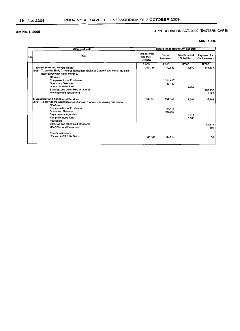# APPROPRIATION ACT, 2009 (EASTERN CAPE)

|      | <b>Details of Vote</b>                                                                                                                                                   |                                               |                     | Details of appropriation 2009/10         |                                       |
|------|--------------------------------------------------------------------------------------------------------------------------------------------------------------------------|-----------------------------------------------|---------------------|------------------------------------------|---------------------------------------|
| INo. | Title                                                                                                                                                                    | <b>Total per Vote</b><br>and Main<br>Division | Current<br>Payments | <b>Transfers and</b><br><b>Subsidies</b> | Payments for<br><b>Capital Assets</b> |
|      |                                                                                                                                                                          | <b>R'000</b>                                  | R'000               | <b>R'000</b>                             | <b>R'000</b>                          |
|      | 7. Early Childhood Development<br>Aim: To provide Early Childhood Education (ECD) at Grade R and earlier levels in<br>accordance with White Paper 5.                     | 367,316                                       | 250.987             | 5,850                                    | 110.479                               |
|      | Of which<br><b>Compensation of Employee</b><br><b>Goods and Services</b>                                                                                                 |                                               | 201.877<br>49,110   |                                          |                                       |
|      | Non-profit institutions<br>Buildings and other fixed structures<br><b>Machinery and Equipment</b>                                                                        |                                               |                     | 5,850                                    | 102.250<br>8,229                      |
|      | 8. Auxilliary and Associated Services<br>Aim: To provide the education institutions as a whole with training and support.<br>Of which<br><b>Compensation of Employee</b> | 248,241                                       | 191.346<br>84.478   | 21.596                                   | 35.299                                |
|      | Goods and Services<br>Departmental Agencies<br>Non-profit institutions<br>Household                                                                                      |                                               | 106,868             | 8.011<br>13,585                          |                                       |
|      | Buildings and other fixed structures<br>Machinery and Equipment                                                                                                          |                                               |                     |                                          | 34.413<br>886                         |
|      | Conditional grants<br>HIV and AIDS (Life Skills)                                                                                                                         | 30,168                                        | 30.118              |                                          | 50                                    |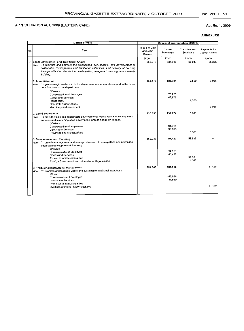# Act No.1, 2009

|     | <b>Details of Vote</b>                                                                                                                                                                                                                                                                                           | Details of appropriation 2009/10       |                         |                                   |                                       |
|-----|------------------------------------------------------------------------------------------------------------------------------------------------------------------------------------------------------------------------------------------------------------------------------------------------------------------|----------------------------------------|-------------------------|-----------------------------------|---------------------------------------|
| Nο. | Title                                                                                                                                                                                                                                                                                                            | Total per Vote<br>and Main<br>Division | Current<br>Payments     | Transfers and<br><b>Subsidies</b> | Payments for<br><b>Capital Assets</b> |
| 7   | Local Government and Traditional Affairs<br>Aim; To facilitate and promote the stabilisation, consolidation and development of<br>sustainable municipalities and traditional institutions, and delivery of housing<br>through effective stakeholder participation, integrated planning and capacity<br>building. | R'000<br>659,016                       | <b>R'000</b><br>537.414 | <b>R'000</b><br>66.247            | R'000<br>55.355                       |
|     | 1. Administration<br>To give strategic leadership to the department and corporate support to the three<br>Aim:<br>core functions of the department.                                                                                                                                                              | 130.177                                | 123,701                 | 2.550                             | 3.926                                 |
|     | Of which<br>Compensation of Employee<br><b>Goods and Services</b><br>Households<br>Non-profit organisations                                                                                                                                                                                                      |                                        | 75.723<br>47.978        | 2.550                             | 3.926                                 |
|     | Machinery and equipment                                                                                                                                                                                                                                                                                          |                                        |                         |                                   |                                       |
|     | 2. Local governance<br>Aim: To provide viable and sustainable developmental municipalities delivering basic<br>services and supporting good governance through hands-on support.                                                                                                                                 | 137.855                                | 132,774                 | 5,081                             |                                       |
|     | Of which<br>Compensation of employees<br>Goods and Services<br>Provinces and Municipalities                                                                                                                                                                                                                      |                                        | 94.614<br>38,160        | 5.081                             |                                       |
|     | 3. Development and Planning<br>Aim: To provide management and strategic direction of municipalities and promoting<br>Integrated development & Planning                                                                                                                                                           | 156,039                                | 97,423                  | 58.616                            |                                       |
|     | Of which<br>Compensation of Employee<br><b>Goods and Services</b><br>Provinces and Municipalities<br>Foreign Government and International Organisation                                                                                                                                                           |                                        | 57.011<br>40.412        | 57.571<br>1.045                   |                                       |
|     | 4. Traditional Institutional Management<br>Aim To promote and facilitate viable and sustainable traditional institutions                                                                                                                                                                                         | 234.945                                | 183.516                 |                                   | 51.429                                |
|     | Of which<br>Compensation of Employee<br>Goods and Services                                                                                                                                                                                                                                                       |                                        | 145.656<br>37,860       |                                   |                                       |
|     | Provinces and municipalities<br>Buildings and other fixed structures                                                                                                                                                                                                                                             |                                        |                         |                                   | 51.429                                |
|     |                                                                                                                                                                                                                                                                                                                  |                                        |                         |                                   |                                       |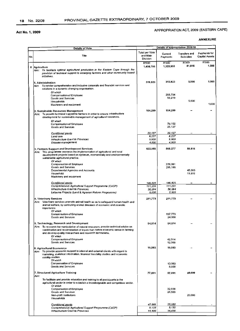# APPROPRIATION ACT, 2009 (EASTERN CAPE)

|     | <b>Details of Vote</b>                                                                                                                                                                                                                                                                  | Details of appropriation 2009/10              |                            |                                   |                                       |
|-----|-----------------------------------------------------------------------------------------------------------------------------------------------------------------------------------------------------------------------------------------------------------------------------------------|-----------------------------------------------|----------------------------|-----------------------------------|---------------------------------------|
| No. | Title                                                                                                                                                                                                                                                                                   | <b>Total per Vote</b><br>and Main<br>Division | Current<br>Payments        | Transfers and<br><b>Subsidies</b> | Payments for<br><b>Capital Assets</b> |
|     |                                                                                                                                                                                                                                                                                         | R'000                                         | R'000                      | R'000                             | R'000                                 |
| 8   | Agriculture<br>Aim: To facilitate optimal agricultural production in the Eastern Cape through the<br>provision of technical support to emerging farmers and other community based<br>initiatives.                                                                                       | 1,408,766                                     | 1,325,950                  | 81,816                            | 1.000                                 |
|     | 1. Administration<br>Aim To render comprehensive and inclusive corporate and financial services and<br>solutions in a dynamic changing organisation.                                                                                                                                    | 319,923                                       | 313,923                    | 5,000                             | 1,000                                 |
|     | Of which<br>Compensation of Employee<br><b>Goods and Services</b>                                                                                                                                                                                                                       |                                               | 255,704<br>58,219          | 5,000                             |                                       |
|     | Households<br>Machinery and equipment                                                                                                                                                                                                                                                   |                                               |                            |                                   | 1,000                                 |
|     | 2. Sustainable Resources Management<br>Aim: To provide technical support to farmers in order to ensure infrastructure<br>development for sustainable management of agricultural resources.                                                                                              | 104,289                                       | 104,289                    |                                   |                                       |
|     | Of which<br>Compensation of Employee<br>Goods and Services                                                                                                                                                                                                                              |                                               | 79,162<br>25,127           |                                   |                                       |
|     | Conditional grants                                                                                                                                                                                                                                                                      | 22,127                                        | 22,127                     |                                   |                                       |
|     | Land care<br>Infrastructure Grant to Provinces<br>Disaster management                                                                                                                                                                                                                   | 8,227<br>9,900<br>4.000                       | 8,227<br>9,900<br>4,000    |                                   |                                       |
|     | 3. Farmers Support and Development Services<br>Aim: This programme oversees the implementation of agricultural and rural<br>development projects based on optimum, economically and environmentally<br>sustainable agricultural practice.                                               | 622,093                                       | 565,277                    | 56,816                            |                                       |
|     | Of which<br><b>Compensation of Employee</b><br>Goods and Services<br>Departmental Agencies and Accounts                                                                                                                                                                                 |                                               | 270,091<br>295,186         | 45,000                            |                                       |
|     | Household<br>Machinery and equipment                                                                                                                                                                                                                                                    |                                               |                            | 11,816                            |                                       |
|     | <b>Conditional grants</b>                                                                                                                                                                                                                                                               | 146,825                                       | 146,825                    |                                   |                                       |
|     | Comprehensive Agricultural Support Programme (CASP)<br>Infrastructure Grant to Provinces<br>Letsema Projects (Land & Agranan Reform Programme)                                                                                                                                          | 111.231<br>30.594<br>5,000                    | 111.231<br>30.594<br>5,000 |                                   |                                       |
|     | 4. Veterinary Services<br>Aim: Veterinary services promote animal health so as to safeguard human health and<br>animal welfare, by controlling animal diseases of economic and zoonotic<br>importance.                                                                                  | 211,773                                       | 211.773                    |                                   |                                       |
|     | Of which<br>Compensation of Employee<br>Goods and Services                                                                                                                                                                                                                              |                                               | 187,773<br>24,000          |                                   |                                       |
|     | 5. Technology, Research and Development<br>Aim: To research the manipulation of natural resources, provide technical advice on<br>combination and recombination of inputs that makes economic sense in farming<br>and develop quality researchers and research technicians.<br>Of which | 54,514                                        | 54,514                     |                                   |                                       |
|     | Compensation of Employee<br>Goods and Services                                                                                                                                                                                                                                          |                                               | 42,514<br>12,000           |                                   |                                       |
|     | 6. Agricultural Economics<br>Aim: To provide economic support to internal and external clients with regard to<br>marketing, statistical information, financial feasibility studies and economic<br>viability studies.<br>Of which                                                       | 19,083                                        | 19,083                     |                                   |                                       |
|     | Compensation of Employee<br><b>Goods and Services</b>                                                                                                                                                                                                                                   |                                               | 13,083<br>6,000            |                                   |                                       |
|     | 7. Structured Agriculture Training<br>Aim:                                                                                                                                                                                                                                              | 77,091                                        | 57,091                     | 20.000                            |                                       |
|     | To facilitate and provide education and training to all participants in the<br>agricultural sector in order to establish a knowledgeable and competitive sector.<br>Of which                                                                                                            |                                               |                            |                                   |                                       |
|     | <b>Compensation of Employee</b><br>Goods and Services<br>Non-profit Institutions<br>Households                                                                                                                                                                                          |                                               | 32.558<br>24.533           | 20,000                            |                                       |
|     | Conditional grants                                                                                                                                                                                                                                                                      | 47,066                                        | 23,533                     |                                   |                                       |
|     | Comprehensive Agricultural Support Programme (CASP)<br>Infrastructure Grant to Provinces                                                                                                                                                                                                | 9,133<br>14,400                               | 9,133<br>14,400            |                                   |                                       |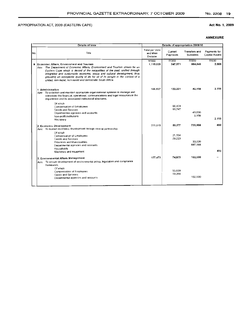# Act No.1, 2009

|     | Details of Vote                                                                                                                                                                                                                                                                                                                                                                                                                                   |                                        |                     | Details of appropriation 2009/10  |                                |
|-----|---------------------------------------------------------------------------------------------------------------------------------------------------------------------------------------------------------------------------------------------------------------------------------------------------------------------------------------------------------------------------------------------------------------------------------------------------|----------------------------------------|---------------------|-----------------------------------|--------------------------------|
| No. | Title                                                                                                                                                                                                                                                                                                                                                                                                                                             | Total per Vote<br>and Main<br>Division | Current<br>Payments | Transfers and<br><b>Subsidies</b> | Payments for<br>Capital Assets |
|     | 9 Economic Affairs, Environment and Tourism<br>Aim: The Department of Economic Affairs, Environment and Tourism strives for an<br>Eastern Cape which is devoid of the inequalities of the past, unified through<br>integrated and sustainable economic, social and cultural development, thus<br>providing an acceptable quality of life for all of its people in the context of a<br>united, non-racial, non-sexist and democratic South Africa. | <b>R'000</b><br>1.115.025              | R'000<br>247.571    | R'000<br>864,846                  | R'000<br>2.608                 |
|     | 1 Administration<br>Aim: To establish and maintain appropriate organisational systems to manage and<br>administer the financial, operational, communications and legal resources in the<br>department and its associated institutional structures.                                                                                                                                                                                                | 166,537                                | 122,221             | 42.158                            | 2.158                          |
|     | Of which<br>Compensation of Employees<br><b>Goods and Services</b><br>Departmental agencies and accounts<br>Non-profit institutions<br>Machinery                                                                                                                                                                                                                                                                                                  |                                        | 66.474<br>55.747    | 40.000<br>2.158                   | 2.158                          |
|     | 2. Economic Development<br>Aim: To sustain economic development through shared partnership.                                                                                                                                                                                                                                                                                                                                                       | 771.015                                | 50.377              | 720.188                           | 450                            |
|     | Of which<br>Compensation of Employees<br><b>Goods and Services</b><br><b>Provinces and Municipalities</b><br>Departmental agencies and accounts<br>Households<br>Machinery and equipment                                                                                                                                                                                                                                                          |                                        | 21.154<br>29.223    | 33.000<br>687,188                 | 450                            |
|     | 3. Environmental Affairs Management<br>Aim: To ensure development of environmental policy, legislation and compliance<br>framework.                                                                                                                                                                                                                                                                                                               | 177,473                                | 74.973              | 102,500                           |                                |
|     | Of which<br>Compensation of Employees<br>Goods and Services<br>Departmental agencies and accounts                                                                                                                                                                                                                                                                                                                                                 |                                        | 55,609<br>19.364    | 102,500                           |                                |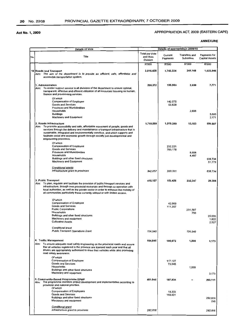# APPROPRIATION ACT, 2009 (EASTERN CAPE)

|     | Details of Vote                                                                                                                                                                                                                                                                                                                                                                              | Details of appropriation 2009/10              |                     |                                          |                                       |
|-----|----------------------------------------------------------------------------------------------------------------------------------------------------------------------------------------------------------------------------------------------------------------------------------------------------------------------------------------------------------------------------------------------|-----------------------------------------------|---------------------|------------------------------------------|---------------------------------------|
| No. | <b>Title</b>                                                                                                                                                                                                                                                                                                                                                                                 | <b>Total per Vote</b><br>and Main<br>Division | Current<br>Payments | <b>Transfers and</b><br><b>Subsidies</b> | Payments for<br><b>Capital Assets</b> |
|     |                                                                                                                                                                                                                                                                                                                                                                                              | <b>R'000</b>                                  | R'000               | R'000                                    | R'000                                 |
|     | 10 Roads and Transport<br>Aim: The aim of the department is to provide an efficient, safe, affordable and<br>accessible transportation system.                                                                                                                                                                                                                                               | 3,016,428                                     | 1,743,334           | 249,148                                  | 1,023,946                             |
|     | 1. Administration<br>Aim: To render support service to all divisions of the department to ensure optimal,<br>transparent, effective and efficient utilization of all resources focusing on human,<br>finance and provisioning services.                                                                                                                                                      | 206,372                                       | 195,903             | 2,698                                    | 7,771                                 |
|     | Of which<br>Compensation of Employee<br><b>Goods and Services</b><br><b>Provinces and Municipalities</b>                                                                                                                                                                                                                                                                                     |                                               | 142,075<br>53,828   |                                          |                                       |
|     | Households<br><b>Buildings</b><br>Machinery and Equipment                                                                                                                                                                                                                                                                                                                                    |                                               |                     | 2,698                                    | 5,600<br>2,171                        |
|     | 2. Roads Infrastructure<br>Aim: To promote accessibility and safe, affordable movement of people, goods and<br>services through the delivery and maintainance of transport infrastructure that is<br>sustainable, integrated and environmentally sensitive, and which supports and<br>facilitate social and economic growth through socially just developmental and<br>empowering processes. | 1,719,009                                     | 1,015,399           | 13,103                                   | 690,507                               |
|     | Of which<br><b>Compensation of Employee</b><br><b>Goods and Services</b><br><b>Provinces and Municipalities</b><br>Households<br>Buildings and other fixed structures<br>Machinery and Equipment                                                                                                                                                                                             |                                               | 232,221<br>783,178  | 8,606<br>4,497                           | 638,734<br>51.773                     |
|     | <b>Conditional grants</b><br>Infrastructure grant to provinces                                                                                                                                                                                                                                                                                                                               | 842,057                                       | 203,323             |                                          | 638,734                               |
|     |                                                                                                                                                                                                                                                                                                                                                                                              |                                               |                     |                                          |                                       |
|     | 3. Public Transport<br>Aim: To plan, regulate and facilitate the provision of public transport services and<br>infrastructure, through own provincial resources and through co-operation with<br>local authonities, as well as the private sector in order to enhance the mobility of<br>all communities particularly those currently without or with limited access.                        | 415,157                                       | 153,426             | 232,347                                  | 29,384                                |
|     | Of which<br><b>Compensation of Employee</b><br><b>Goods and Services</b><br><b>Public Corporations</b><br>Households<br>Buildings and other fixed structures<br>Machinery and equipment<br><b>Cultivated Assets</b>                                                                                                                                                                          |                                               | 42,069<br>111,357   | 231,597<br>750                           | 25,035<br>1,822<br>2,527              |
|     | Conditional grant<br>Public Transport Operations Grant                                                                                                                                                                                                                                                                                                                                       | 126,540                                       |                     | 126,540                                  |                                       |
|     | 4. Traffic Management<br>Aim: To ensure adequate road safety engineering on the provincial roads and ensure<br>that all vehicles registered in the province are licensed each year and that all<br>drivers are appropriately authorised to drive their vehicles while also promoting<br>road safety awareness.                                                                               | 194,845                                       | 190,672             | 1,000                                    | 3,173                                 |
|     | Of which<br><b>Compensation of Employee</b><br>Goods and Services<br>Households<br>Buildings and other fixed structures                                                                                                                                                                                                                                                                      |                                               | 117,127<br>73,545   | 1,000                                    |                                       |
|     | Machinery and equipment                                                                                                                                                                                                                                                                                                                                                                      |                                               |                     |                                          | 3.173                                 |
|     | 5. Community-Based Programme EPWP<br>The programme monitors project development and implementation according to<br>Aim:<br>provincial and national priorities.<br>Of which                                                                                                                                                                                                                   | 481,045                                       | 187,934             |                                          | 293,111                               |
|     | <b>Compensation of Employees</b><br>Goods and Services<br>Buildings and other fixed structures<br>Machinery and equipment                                                                                                                                                                                                                                                                    |                                               | 18,333<br>169,601   |                                          | 292,816<br>295                        |
|     | <b>Conditional grant</b><br>infrastructure grant to provinces                                                                                                                                                                                                                                                                                                                                | 282,816                                       |                     |                                          | 282,816                               |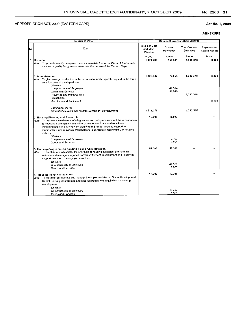#### Act No.1, 2009

|     | Details of Vote                                                                                                                                                                                                                                                                                                                               | Details of appropriation 2009/10       |                     |                                   |                                       |  |
|-----|-----------------------------------------------------------------------------------------------------------------------------------------------------------------------------------------------------------------------------------------------------------------------------------------------------------------------------------------------|----------------------------------------|---------------------|-----------------------------------|---------------------------------------|--|
| No. | Title                                                                                                                                                                                                                                                                                                                                         | Total per Vote<br>and Main<br>Division | Current<br>Payments | <b>Transfers and</b><br>Subsidies | Payments for<br><b>Capital Assets</b> |  |
|     |                                                                                                                                                                                                                                                                                                                                               | <b>R'000</b>                           | R'000               | R'000                             | R'000                                 |  |
|     | 11 Housing                                                                                                                                                                                                                                                                                                                                    | 1,474.789                              | 153.311             | 1.313.378                         | 8,100                                 |  |
|     | Aim: To provide quality, integrated and sustainable human settlement that creates<br>choices of quality living environments for the people of the Eastern Cape.                                                                                                                                                                               |                                        |                     |                                   |                                       |  |
|     | 1. Administration<br>Aim: To give strategic leadership to the department and corporate support to the three<br>core functions of the department.<br>Of which                                                                                                                                                                                  | 1.395.332                              | 73.854              | 1.313.378                         | 8.100                                 |  |
|     | Compensation of Employee                                                                                                                                                                                                                                                                                                                      |                                        | 41.014              |                                   |                                       |  |
|     | Goods and Services                                                                                                                                                                                                                                                                                                                            |                                        | 32,840              |                                   |                                       |  |
|     | Provinces and Municipalities                                                                                                                                                                                                                                                                                                                  |                                        |                     | 1.313.378                         |                                       |  |
|     | Households                                                                                                                                                                                                                                                                                                                                    |                                        |                     |                                   |                                       |  |
|     | Machinery and Equipment                                                                                                                                                                                                                                                                                                                       |                                        |                     |                                   | 8,100                                 |  |
|     | Conditional grants                                                                                                                                                                                                                                                                                                                            |                                        |                     |                                   |                                       |  |
|     | Integrated Housing and Human Settlemen! Development                                                                                                                                                                                                                                                                                           | 1,313,378                              |                     | 1.313.378                         |                                       |  |
|     | 2. Housing Planning and Research                                                                                                                                                                                                                                                                                                              | 15.697                                 | 15,697              |                                   |                                       |  |
|     | $Aim$ To facilitate the existence of a legislative and policy environment the is conducive<br>to houdsing development within the province, cordinate evidence based<br>integrated housing development planning and render ongoing support to<br>municipalities and ptovincial stakeholders to participate meaningfully in housing<br>delivery |                                        |                     |                                   |                                       |  |
|     | Of which                                                                                                                                                                                                                                                                                                                                      |                                        | 12.103              |                                   |                                       |  |
|     | Compensation of Employee<br>Goods and Services                                                                                                                                                                                                                                                                                                |                                        | 3,594               |                                   |                                       |  |
|     |                                                                                                                                                                                                                                                                                                                                               |                                        |                     |                                   |                                       |  |
|     | 3. Housing Programmes Facilitation aand Administration<br>Aim: To facilitate and administer the provision of housing subsidies, promote, co-<br>ordinate and manage integrated human settlement development and to provide<br>support services to emerging contractors.<br>Of which                                                           | 51.362                                 | 51.362              |                                   |                                       |  |
|     | Compensation of Employee                                                                                                                                                                                                                                                                                                                      |                                        | 42.559              |                                   |                                       |  |
|     | Conds and Services                                                                                                                                                                                                                                                                                                                            |                                        | 8.803               |                                   |                                       |  |
|     |                                                                                                                                                                                                                                                                                                                                               | 12.398                                 | 12,398              |                                   |                                       |  |
|     | 4. Housing Asset management<br>Aim. To facilitate, co-ordinate and manage the implementation of Social Housing and<br>Rental Housing programmes and land facilitation and acquisition for housing<br>development.<br>Of which                                                                                                                 |                                        |                     |                                   |                                       |  |
|     | Compensation of Employee                                                                                                                                                                                                                                                                                                                      |                                        | 10.737              |                                   |                                       |  |
|     | Goods and Services                                                                                                                                                                                                                                                                                                                            |                                        | 1.661               |                                   |                                       |  |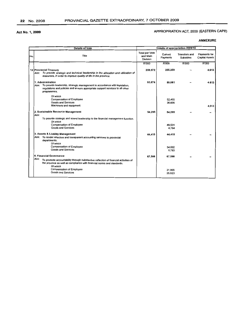# APPROPRIATION ACT, 2009 (EASTERN CAPE)

| Details of appropriation 2009/10<br><b>Details of Vote</b> |                                                                                                                                                                                                              |                                               |                     |                                   |                                       |
|------------------------------------------------------------|--------------------------------------------------------------------------------------------------------------------------------------------------------------------------------------------------------------|-----------------------------------------------|---------------------|-----------------------------------|---------------------------------------|
| INo.                                                       | Title                                                                                                                                                                                                        | <b>Total per Vote</b><br>and Main<br>Division | Current<br>Payments | Transfers and<br><b>Subsidies</b> | Payments for<br><b>Capital Assets</b> |
|                                                            |                                                                                                                                                                                                              | <b>R'000</b>                                  | <b>R'000</b>        | R'000                             | R'000                                 |
|                                                            | 12 Provincial Treasury<br>Aim: To provide strategic and technical leadership in the allocation and utilization of<br>resources, in order to improve quality of life in the province.                         | 259.972                                       | 255.359             |                                   | 4.613                                 |
|                                                            | 1. Administration<br>Aim: To provide leadership, strategic management in accordance with legislation,<br>regulations and policies and ensure appropriate support services to all other<br>programmes.        | 93.674                                        | 89,061              |                                   | 4.613                                 |
|                                                            | Of which<br>Compensation of Employee<br>Goods and Services<br>Machinery and equipment                                                                                                                        |                                               | 52.455<br>36,606    |                                   | 4.613                                 |
|                                                            | 2. Sustainable Resource Management<br>Aim:                                                                                                                                                                   | 54,295                                        | 54,295              |                                   |                                       |
|                                                            | To provide strategic and sound leadership to the financial management function.<br>Of which<br><b>Compensation of Employee</b><br>Goods and Services                                                         |                                               | 49.531<br>4,764     |                                   |                                       |
|                                                            | 3. Assets & Liability Management<br>Aim: To render effective and transparent accounting services to provincial<br>departments.<br>Of which                                                                   | 44.415                                        | 44.415              |                                   |                                       |
|                                                            | Compensation of Employee<br>Goods and Services                                                                                                                                                               |                                               | 34,632<br>9.783     |                                   |                                       |
|                                                            | 4. Financial Governance<br>Aim:<br>To promote accountability through substantive reflection of financial activities of<br>the province as well as compliance with financial norms and standards.<br>Of which | 67.588                                        | 67.588              |                                   |                                       |
|                                                            | Compensation of Employee<br>Goods and Services                                                                                                                                                               |                                               | 31.965<br>35,623    |                                   |                                       |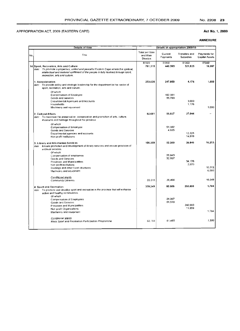#### Act No.1, 2009

|     | <b>Details of Vote</b>                                                                                                                                                                                                                               | Details of appropriation 2009/10              |                     |                                   |                                |
|-----|------------------------------------------------------------------------------------------------------------------------------------------------------------------------------------------------------------------------------------------------------|-----------------------------------------------|---------------------|-----------------------------------|--------------------------------|
| No. | Title                                                                                                                                                                                                                                                | <b>Total per Vote</b><br>and Main<br>Division | Current<br>Payments | Transfers and<br><b>Subsidies</b> | Payments for<br>Capital Assets |
|     | 14 Sport, Recreation, Arts and Culture<br>Aim: To promote a properous, united and peaceful Eastern Cape where the spiritual,<br>intellectual and material upliftment of the people is fully realized through sport,<br>recreation, arts and culture. | R'000<br>781,315                              | R'000<br>440,393    | R'000<br>321.925                  | R'000<br>18.997                |
|     | 1. Administration<br>Aim: To provide policy and strategic leadership for the department in the sector of<br>sport, recreation, arts and culture.<br>Of which                                                                                         | 253.026                                       | 247,850             | 4.176                             | 1,000                          |
|     | Compensation of Employee<br>Goods and services<br>Departmental Agencues and Accounts                                                                                                                                                                 |                                               | 192,061<br>55,789   | 3,000                             |                                |
|     | Households<br>Machinery and equioment                                                                                                                                                                                                                |                                               |                     | 1,176                             | 1,000                          |
|     | 2. Cultural Affairs<br>Aim: To maximise the preservation, conservation and promotion of arts, culture,<br>museums and heritage throughout the province                                                                                               | 82,681                                        | 55.637              | 27.044                            |                                |
|     | Of which<br>Compensation of Employee<br>Goods and Services<br>Departmental agencies and accounts<br>Non-profit Institutions                                                                                                                          |                                               | 51,002<br>4,635     | 12.225<br>14,819                  |                                |
|     | 3. Library and Information Services<br>Ensure promotion and development of library services and ensure provision of<br>Aim'<br>archival services.                                                                                                    | 106,359                                       | 53.300              | 36,846                            | 16,213                         |
|     | Of which<br>Compensation of employees<br>Goods and Services<br>Provinces and Municipalities                                                                                                                                                          |                                               | 20.643<br>32,657    | 34,176                            |                                |
|     | Non profit institutions<br>Buildings and other fixed structures<br>Machinery and equipment                                                                                                                                                           |                                               |                     | 2.670                             | 10.213<br>6,000                |
|     | Conditional grants<br>Community Libraries                                                                                                                                                                                                            | 55.515                                        | 39,466              |                                   | 16.049                         |
|     | 4. Sport and Recreation<br>Aim: To promote and develop sport and recreation in the province that will enhance<br>active and healthy communities                                                                                                      | 339,249                                       | 83,606              | 253,859                           | 1,784                          |
|     | Of which<br>Compensation of Employees<br>Goods and Services                                                                                                                                                                                          |                                               | 24.067<br>59,539    |                                   |                                |
|     | Provinces and Municipalities<br>Non-profit Organizations<br>Machinery and equipment                                                                                                                                                                  |                                               |                     | 242,000<br>11.859                 | 1.784                          |
|     | Conditional grants<br>Mass Sport and Recreation Participation Programme                                                                                                                                                                              | 62.765                                        | 61,465              |                                   | 1.300                          |